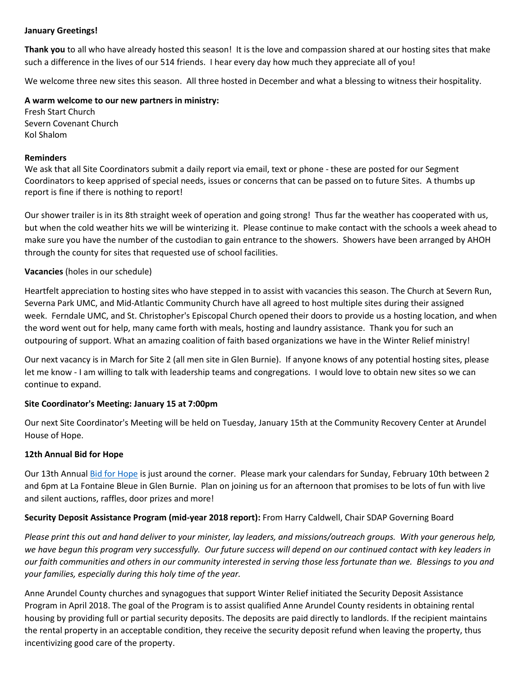#### **January Greetings!**

**Thank you** to all who have already hosted this season! It is the love and compassion shared at our hosting sites that make such a difference in the lives of our 514 friends. I hear every day how much they appreciate all of you!

We welcome three new sites this season. All three hosted in December and what a blessing to witness their hospitality.

**A warm welcome to our new partners in ministry:**

Fresh Start Church Severn Covenant Church Kol Shalom

#### **Reminders**

We ask that all Site Coordinators submit a daily report via email, text or phone - these are posted for our Segment Coordinators to keep apprised of special needs, issues or concerns that can be passed on to future Sites. A thumbs up report is fine if there is nothing to report!

Our shower trailer is in its 8th straight week of operation and going strong! Thus far the weather has cooperated with us, but when the cold weather hits we will be winterizing it. Please continue to make contact with the schools a week ahead to make sure you have the number of the custodian to gain entrance to the showers. Showers have been arranged by AHOH through the county for sites that requested use of school facilities.

# **Vacancies** (holes in our schedule)

Heartfelt appreciation to hosting sites who have stepped in to assist with vacancies this season. The Church at Severn Run, Severna Park UMC, and Mid-Atlantic Community Church have all agreed to host multiple sites during their assigned week. Ferndale UMC, and St. Christopher's Episcopal Church opened their doors to provide us a hosting location, and when the word went out for help, many came forth with meals, hosting and laundry assistance. Thank you for such an outpouring of support. What an amazing coalition of faith based organizations we have in the Winter Relief ministry!

Our next vacancy is in March for Site 2 (all men site in Glen Burnie). If anyone knows of any potential hosting sites, please let me know - I am willing to talk with leadership teams and congregations. I would love to obtain new sites so we can continue to expand.

# **Site Coordinator's Meeting: January 15 at 7:00pm**

Our next Site Coordinator's Meeting will be held on Tuesday, January 15th at the Community Recovery Center at Arundel House of Hope.

# **12th Annual Bid for Hope**

Our 13th Annual [Bid for Hope](http://www.arundelhoh.org/2019-Bid-for-Hope.pdf) is just around the corner. Please mark your calendars for Sunday, February 10th between 2 and 6pm at La Fontaine Bleue in Glen Burnie. Plan on joining us for an afternoon that promises to be lots of fun with live and silent auctions, raffles, door prizes and more!

# **Security Deposit Assistance Program (mid-year 2018 report):** From Harry Caldwell, Chair SDAP Governing Board

*Please print this out and hand deliver to your minister, lay leaders, and missions/outreach groups. With your generous help, we have begun this program very successfully. Our future success will depend on our continued contact with key leaders in our faith communities and others in our community interested in serving those less fortunate than we. Blessings to you and your families, especially during this holy time of the year.* 

Anne Arundel County churches and synagogues that support Winter Relief initiated the Security Deposit Assistance Program in April 2018. The goal of the Program is to assist qualified Anne Arundel County residents in obtaining rental housing by providing full or partial security deposits. The deposits are paid directly to landlords. If the recipient maintains the rental property in an acceptable condition, they receive the security deposit refund when leaving the property, thus incentivizing good care of the property.